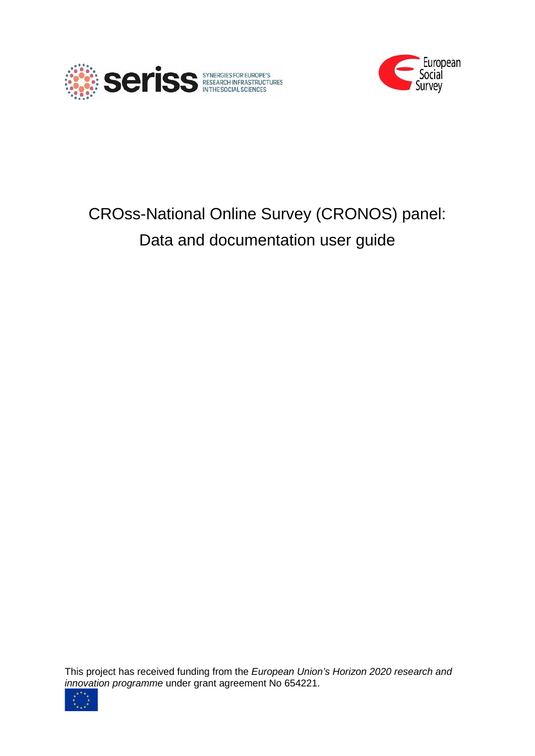



# CROss-National Online Survey (CRONOS) panel: Data and documentation user guide

This project has received funding from the *European Union's Horizon 2020 research and innovation programme* under grant agreement No 654221.

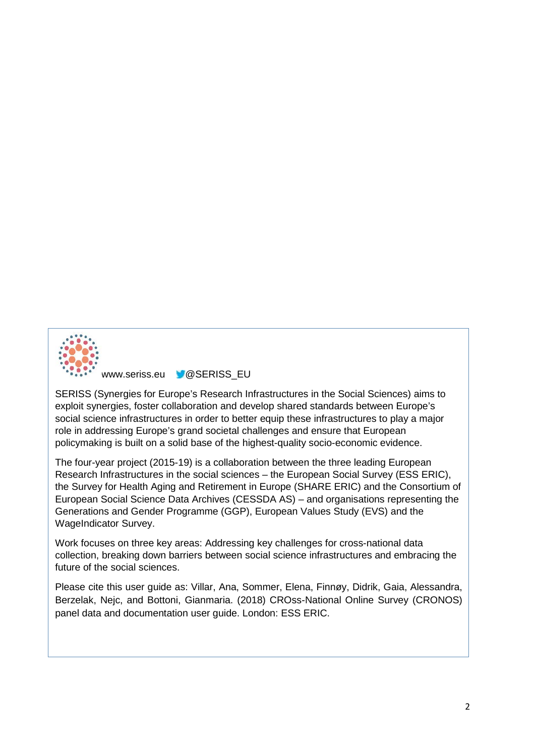

[www.seriss.eu](http://www.seriss.eu/) **W@SERISS\_EU** 

SERISS (Synergies for Europe's Research Infrastructures in the Social Sciences) aims to exploit synergies, foster collaboration and develop shared standards between Europe's social science infrastructures in order to better equip these infrastructures to play a major role in addressing Europe's grand societal challenges and ensure that European policymaking is built on a solid base of the highest-quality socio-economic evidence.

The four-year project (2015-19) is a collaboration between the three leading European Research Infrastructures in the social sciences – the European Social Survey (ESS ERIC), the Survey for Health Aging and Retirement in Europe (SHARE ERIC) and the Consortium of European Social Science Data Archives (CESSDA AS) – and organisations representing the Generations and Gender Programme (GGP), European Values Study (EVS) and the WageIndicator Survey.

Work focuses on three key areas: Addressing key challenges for cross-national data collection, breaking down barriers between social science infrastructures and embracing the future of the social sciences.

Please cite this user guide as: Villar, Ana, Sommer, Elena, Finnøy, Didrik, Gaia, Alessandra, Berzelak, Nejc, and Bottoni, Gianmaria. (2018) CROss-National Online Survey (CRONOS) panel data and documentation user guide. London: ESS ERIC.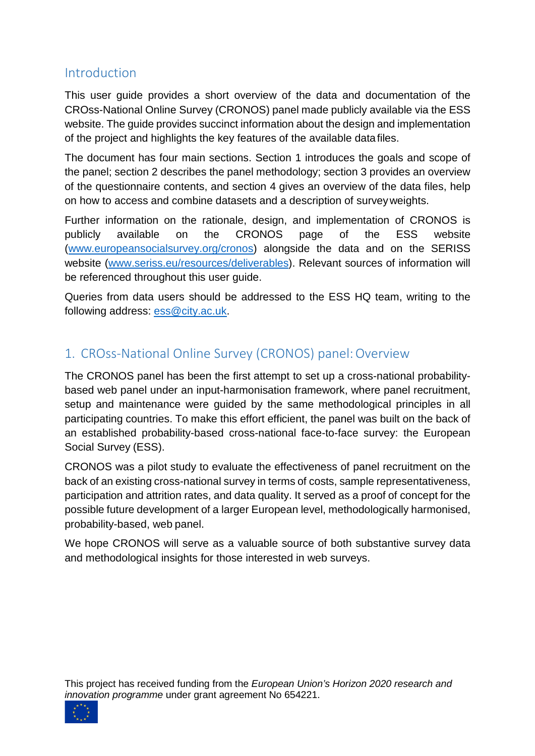# Introduction

This user guide provides a short overview of the data and documentation of the CROss-National Online Survey (CRONOS) panel made publicly available via the ESS website. The guide provides succinct information about the design and implementation of the project and highlights the key features of the available datafiles.

The document has four main sections. Section 1 introduces the goals and scope of the panel; section 2 describes the panel methodology; section 3 provides an overview of the questionnaire contents, and section 4 gives an overview of the data files, help on how to access and combine datasets and a description of surveyweights.

Further information on the rationale, design, and implementation of CRONOS is publicly available on the CRONOS page of the ESS website [\(www.europeansocialsurvey.org/cronos\)](http://www.europeansocialsurvey.org/cronos) alongside the data and on the SERISS website [\(www.seriss.eu/resources/deliverables\)](http://www.seriss.eu/resources/deliverables). Relevant sources of information will be referenced throughout this user guide.

Queries from data users should be addressed to the ESS HQ team, writing to the following address: [ess@city.ac.uk.](mailto:ess@city.ac.uk)

# 1. CROss-National Online Survey (CRONOS) panel:Overview

The CRONOS panel has been the first attempt to set up a cross-national probabilitybased web panel under an input-harmonisation framework, where panel recruitment, setup and maintenance were guided by the same methodological principles in all participating countries. To make this effort efficient, the panel was built on the back of an established probability-based cross-national face-to-face survey: the European Social Survey (ESS).

CRONOS was a pilot study to evaluate the effectiveness of panel recruitment on the back of an existing cross-national survey in terms of costs, sample representativeness, participation and attrition rates, and data quality. It served as a proof of concept for the possible future development of a larger European level, methodologically harmonised, probability-based, web panel.

We hope CRONOS will serve as a valuable source of both substantive survey data and methodological insights for those interested in web surveys.

This project has received funding from the *European Union's Horizon 2020 research and innovation programme* under grant agreement No 654221.

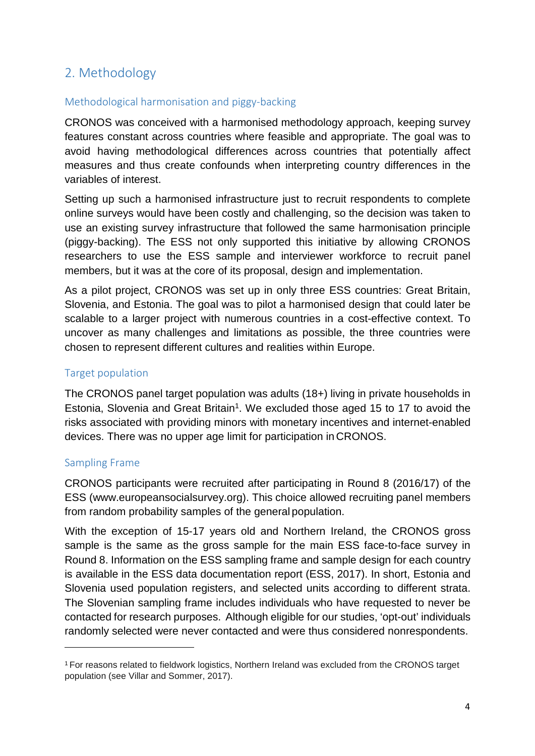# 2. Methodology

#### Methodological harmonisation and piggy-backing

CRONOS was conceived with a harmonised methodology approach, keeping survey features constant across countries where feasible and appropriate. The goal was to avoid having methodological differences across countries that potentially affect measures and thus create confounds when interpreting country differences in the variables of interest.

Setting up such a harmonised infrastructure just to recruit respondents to complete online surveys would have been costly and challenging, so the decision was taken to use an existing survey infrastructure that followed the same harmonisation principle (piggy-backing). The ESS not only supported this initiative by allowing CRONOS researchers to use the ESS sample and interviewer workforce to recruit panel members, but it was at the core of its proposal, design and implementation.

As a pilot project, CRONOS was set up in only three ESS countries: Great Britain, Slovenia, and Estonia. The goal was to pilot a harmonised design that could later be scalable to a larger project with numerous countries in a cost-effective context. To uncover as many challenges and limitations as possible, the three countries were chosen to represent different cultures and realities within Europe.

## Target population

The CRONOS panel target population was adults (18+) living in private households in Estonia, Slovenia and Great Britain<sup>1</sup>. We excluded those aged 15 to 17 to avoid the risks associated with providing minors with monetary incentives and internet-enabled devices. There was no upper age limit for participation in CRONOS.

## Sampling Frame

CRONOS participants were recruited after participating in Round 8 (2016/17) of the ESS [\(www.europeansocialsurvey.org\)](http://www.europeansocialsurvey.org/). This choice allowed recruiting panel members from random probability samples of the general population.

With the exception of 15-17 years old and Northern Ireland, the CRONOS gross sample is the same as the gross sample for the main ESS face-to-face survey in Round 8. Information on the ESS sampling frame and sample design for each country is available in the ESS data documentation report (ESS, 2017). In short, Estonia and Slovenia used population registers, and selected units according to different strata. The Slovenian sampling frame includes individuals who have requested to never be contacted for research purposes. Although eligible for our studies, 'opt-out' individuals randomly selected were never contacted and were thus considered nonrespondents.

<span id="page-3-0"></span><sup>1</sup> For reasons related to fieldwork logistics, Northern Ireland was excluded from the CRONOS target population (see Villar and Sommer, 2017).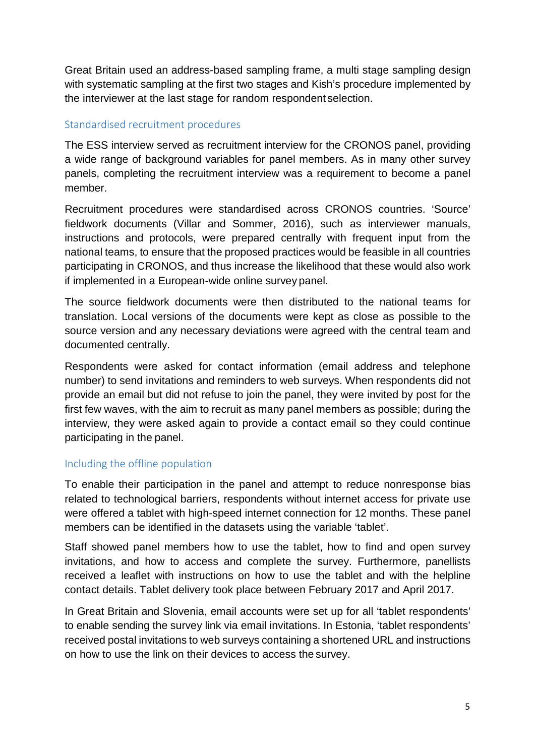Great Britain used an address-based sampling frame, a multi stage sampling design with systematic sampling at the first two stages and Kish's procedure implemented by the interviewer at the last stage for random respondent selection.

#### Standardised recruitment procedures

The ESS interview served as recruitment interview for the CRONOS panel, providing a wide range of background variables for panel members. As in many other survey panels, completing the recruitment interview was a requirement to become a panel member.

Recruitment procedures were standardised across CRONOS countries. 'Source' fieldwork documents (Villar and Sommer, 2016), such as interviewer manuals, instructions and protocols, were prepared centrally with frequent input from the national teams, to ensure that the proposed practices would be feasible in all countries participating in CRONOS, and thus increase the likelihood that these would also work if implemented in a European-wide online survey panel.

The source fieldwork documents were then distributed to the national teams for translation. Local versions of the documents were kept as close as possible to the source version and any necessary deviations were agreed with the central team and documented centrally.

Respondents were asked for contact information (email address and telephone number) to send invitations and reminders to web surveys. When respondents did not provide an email but did not refuse to join the panel, they were invited by post for the first few waves, with the aim to recruit as many panel members as possible; during the interview, they were asked again to provide a contact email so they could continue participating in the panel.

## Including the offline population

To enable their participation in the panel and attempt to reduce nonresponse bias related to technological barriers, respondents without internet access for private use were offered a tablet with high-speed internet connection for 12 months. These panel members can be identified in the datasets using the variable 'tablet'.

Staff showed panel members how to use the tablet, how to find and open survey invitations, and how to access and complete the survey. Furthermore, panellists received a leaflet with instructions on how to use the tablet and with the helpline contact details. Tablet delivery took place between February 2017 and April 2017.

In Great Britain and Slovenia, email accounts were set up for all 'tablet respondents' to enable sending the survey link via email invitations. In Estonia, 'tablet respondents' received postal invitations to web surveys containing a shortened URL and instructions on how to use the link on their devices to access the survey.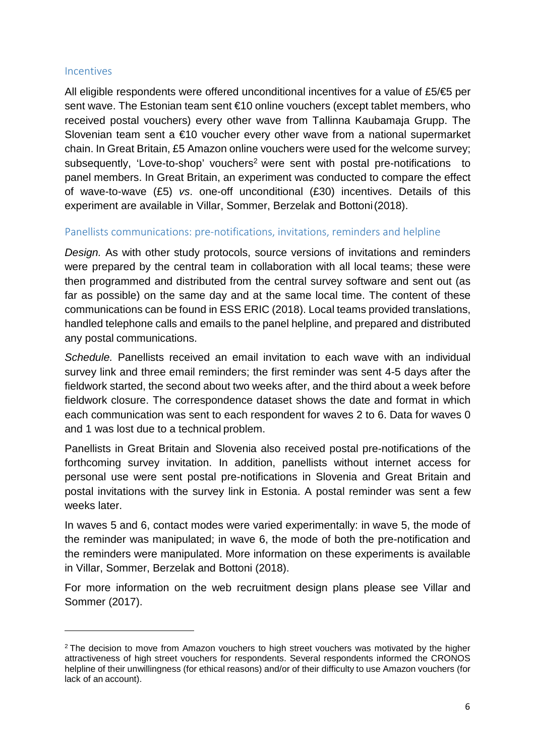#### **Incentives**

All eligible respondents were offered unconditional incentives for a value of  $£5/€5$  per sent wave. The Estonian team sent €10 online vouchers (except tablet members, who received postal vouchers) every other wave from Tallinna Kaubamaja Grupp. The Slovenian team sent a €10 voucher every other wave from a national supermarket chain. In Great Britain, £5 Amazon online vouchers were used for the welcome survey; subsequently, 'Love-to-shop' vouchers<sup>2</sup> were sent with postal pre-notifications to panel members. In Great Britain, an experiment was conducted to compare the effect of wave-to-wave (£5) *vs*. one-off unconditional (£30) incentives. Details of this experiment are available in Villar, Sommer, Berzelak and Bottoni(2018).

#### Panellists communications: pre-notifications, invitations, reminders and helpline

*Design.* As with other study protocols, source versions of invitations and reminders were prepared by the central team in collaboration with all local teams; these were then programmed and distributed from the central survey software and sent out (as far as possible) on the same day and at the same local time. The content of these communications can be found in ESS ERIC (2018). Local teams provided translations, handled telephone calls and emails to the panel helpline, and prepared and distributed any postal communications.

*Schedule.* Panellists received an email invitation to each wave with an individual survey link and three email reminders; the first reminder was sent 4-5 days after the fieldwork started, the second about two weeks after, and the third about a week before fieldwork closure. The correspondence dataset shows the date and format in which each communication was sent to each respondent for waves 2 to 6. Data for waves 0 and 1 was lost due to a technical problem.

Panellists in Great Britain and Slovenia also received postal pre-notifications of the forthcoming survey invitation. In addition, panellists without internet access for personal use were sent postal pre-notifications in Slovenia and Great Britain and postal invitations with the survey link in Estonia. A postal reminder was sent a few weeks later.

In waves 5 and 6, contact modes were varied experimentally: in wave 5, the mode of the reminder was manipulated; in wave 6, the mode of both the pre-notification and the reminders were manipulated. More information on these experiments is available in Villar, Sommer, Berzelak and Bottoni (2018).

For more information on the web recruitment design plans please see Villar and Sommer (2017).

<span id="page-5-0"></span><sup>&</sup>lt;sup>2</sup> The decision to move from Amazon vouchers to high street vouchers was motivated by the higher attractiveness of high street vouchers for respondents. Several respondents informed the CRONOS helpline of their unwillingness (for ethical reasons) and/or of their difficulty to use Amazon vouchers (for lack of an account).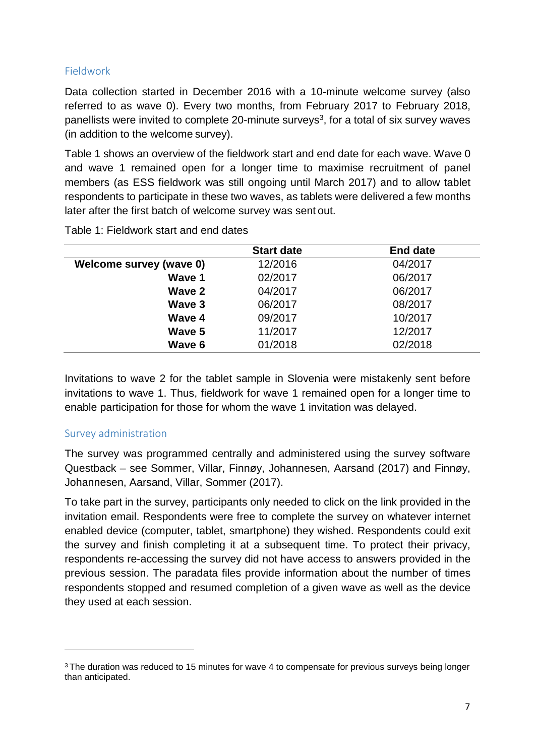## Fieldwork

Data collection started in December 2016 with a 10-minute welcome survey (also referred to as wave 0). Every two months, from February 2017 to February 2018, panellists were invited to complete 20-minute surveys<sup>3</sup>, for a total of six survey waves (in addition to the welcome survey).

Table 1 shows an overview of the fieldwork start and end date for each wave. Wave 0 and wave 1 remained open for a longer time to maximise recruitment of panel members (as ESS fieldwork was still ongoing until March 2017) and to allow tablet respondents to participate in these two waves, as tablets were delivered a few months later after the first batch of welcome survey was sent out.

|                         | <b>Start date</b> | <b>End date</b> |
|-------------------------|-------------------|-----------------|
| Welcome survey (wave 0) | 12/2016           | 04/2017         |
| Wave 1                  | 02/2017           | 06/2017         |
| Wave 2                  | 04/2017           | 06/2017         |
| Wave 3                  | 06/2017           | 08/2017         |
| Wave 4                  | 09/2017           | 10/2017         |
| Wave 5                  | 11/2017           | 12/2017         |
| Wave 6                  | 01/2018           | 02/2018         |
|                         |                   |                 |

Table 1: Fieldwork start and end dates

Invitations to wave 2 for the tablet sample in Slovenia were mistakenly sent before invitations to wave 1. Thus, fieldwork for wave 1 remained open for a longer time to enable participation for those for whom the wave 1 invitation was delayed.

## Survey administration

The survey was programmed centrally and administered using the survey software Questback – see Sommer, Villar, Finnøy, Johannesen, Aarsand (2017) and Finnøy, Johannesen, Aarsand, Villar, Sommer (2017).

To take part in the survey, participants only needed to click on the link provided in the invitation email. Respondents were free to complete the survey on whatever internet enabled device (computer, tablet, smartphone) they wished. Respondents could exit the survey and finish completing it at a subsequent time. To protect their privacy, respondents re-accessing the survey did not have access to answers provided in the previous session. The paradata files provide information about the number of times respondents stopped and resumed completion of a given wave as well as the device they used at each session.

<span id="page-6-0"></span><sup>&</sup>lt;sup>3</sup> The duration was reduced to 15 minutes for wave 4 to compensate for previous surveys being longer than anticipated.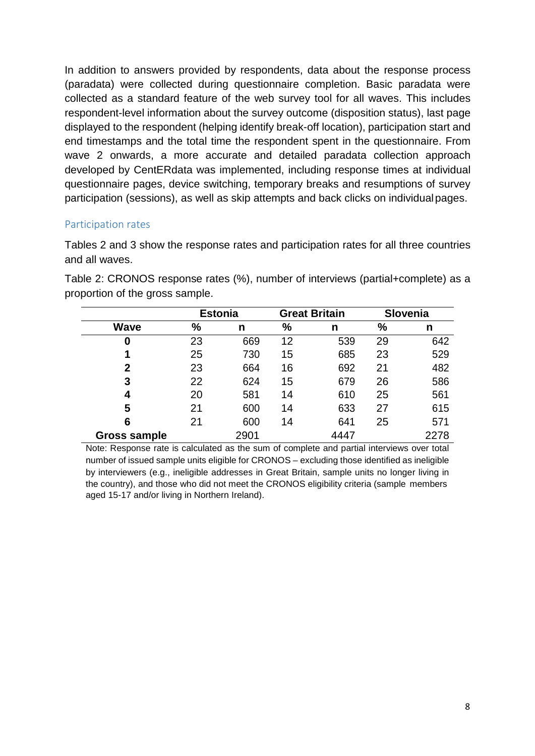In addition to answers provided by respondents, data about the response process (paradata) were collected during questionnaire completion. Basic paradata were collected as a standard feature of the web survey tool for all waves. This includes respondent-level information about the survey outcome (disposition status), last page displayed to the respondent (helping identify break-off location), participation start and end timestamps and the total time the respondent spent in the questionnaire. From wave 2 onwards, a more accurate and detailed paradata collection approach developed by CentERdata was implemented, including response times at individual questionnaire pages, device switching, temporary breaks and resumptions of survey participation (sessions), as well as skip attempts and back clicks on individualpages.

## Participation rates

Tables 2 and 3 show the response rates and participation rates for all three countries and all waves.

|              |               | <b>Estonia</b> |    | <b>Great Britain</b> |      | <b>Slovenia</b> |
|--------------|---------------|----------------|----|----------------------|------|-----------------|
| <b>Wave</b>  | $\frac{9}{6}$ | n              | %  | n                    | $\%$ | n               |
| 0            | 23            | 669            | 12 | 539                  | 29   | 642             |
| 1            | 25            | 730            | 15 | 685                  | 23   | 529             |
| $\mathbf 2$  | 23            | 664            | 16 | 692                  | 21   | 482             |
| 3            | 22            | 624            | 15 | 679                  | 26   | 586             |
| 4            | 20            | 581            | 14 | 610                  | 25   | 561             |
| 5            | 21            | 600            | 14 | 633                  | 27   | 615             |
| 6            | 21            | 600            | 14 | 641                  | 25   | 571             |
| Gross sample |               | 2901           |    | 4447                 |      | 2278            |

Table 2: CRONOS response rates (%), number of interviews (partial+complete) as a proportion of the gross sample.

Note: Response rate is calculated as the sum of complete and partial interviews over total number of issued sample units eligible for CRONOS – excluding those identified as ineligible by interviewers (e.g., ineligible addresses in Great Britain, sample units no longer living in the country), and those who did not meet the CRONOS eligibility criteria (sample members aged 15-17 and/or living in Northern Ireland).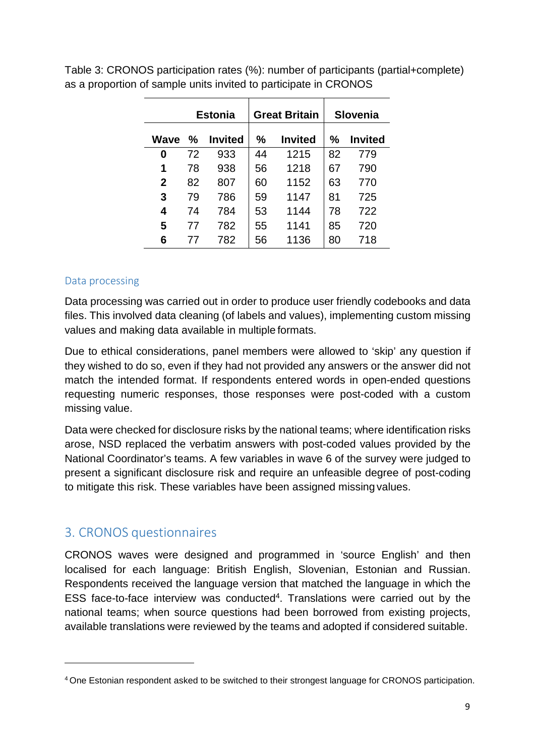|              |    | <b>Estonia</b> |    | <b>Great Britain</b> |    | Slovenia       |
|--------------|----|----------------|----|----------------------|----|----------------|
| Wave         | %  | <b>Invited</b> | %  | <b>Invited</b>       | ℅  | <b>Invited</b> |
| 0            | 72 | 933            | 44 | 1215                 | 82 | 779            |
| 1            | 78 | 938            | 56 | 1218                 | 67 | 790            |
| $\mathbf{2}$ | 82 | 807            | 60 | 1152                 | 63 | 770            |
| 3            | 79 | 786            | 59 | 1147                 | 81 | 725            |
| 4            | 74 | 784            | 53 | 1144                 | 78 | 722            |
| 5            | 77 | 782            | 55 | 1141                 | 85 | 720            |
| 6            | 77 | 782            | 56 | 1136                 | 80 | 718            |

Table 3: CRONOS participation rates (%): number of participants (partial+complete) as a proportion of sample units invited to participate in CRONOS

#### Data processing

Data processing was carried out in order to produce user friendly codebooks and data files. This involved data cleaning (of labels and values), implementing custom missing values and making data available in multiple formats.

Due to ethical considerations, panel members were allowed to 'skip' any question if they wished to do so, even if they had not provided any answers or the answer did not match the intended format. If respondents entered words in open-ended questions requesting numeric responses, those responses were post-coded with a custom missing value.

Data were checked for disclosure risks by the national teams; where identification risks arose, NSD replaced the verbatim answers with post-coded values provided by the National Coordinator's teams. A few variables in wave 6 of the survey were judged to present a significant disclosure risk and require an unfeasible degree of post-coding to mitigate this risk. These variables have been assigned missing values.

## 3. CRONOS questionnaires

CRONOS waves were designed and programmed in 'source English' and then localised for each language: British English, Slovenian, Estonian and Russian. Respondents received the language version that matched the language in which the ESS face-to-face interview was conducted<sup>4</sup>. Translations were carried out by the national teams; when source questions had been borrowed from existing projects, available translations were reviewed by the teams and adopted if considered suitable.

<span id="page-8-0"></span><sup>4</sup> One Estonian respondent asked to be switched to their strongest language for CRONOS participation.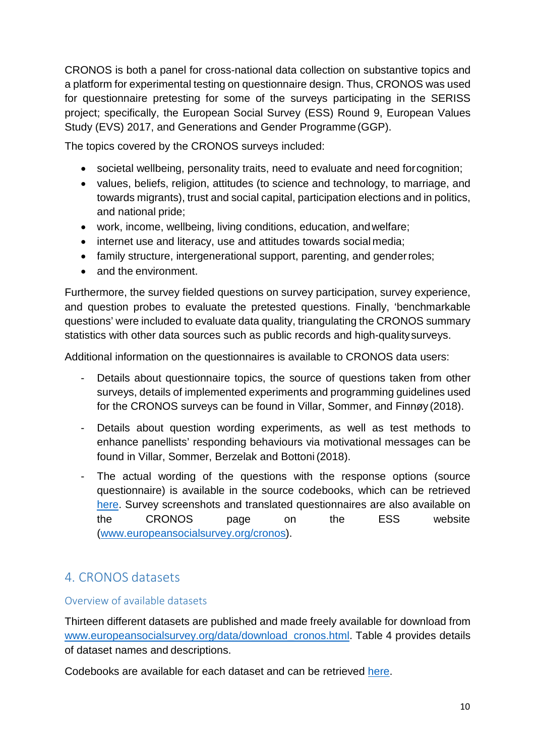CRONOS is both a panel for cross-national data collection on substantive topics and a platform for experimental testing on questionnaire design. Thus, CRONOS was used for questionnaire pretesting for some of the surveys participating in the SERISS project; specifically, the European Social Survey (ESS) Round 9, European Values Study (EVS) 2017, and Generations and Gender Programme (GGP).

The topics covered by the CRONOS surveys included:

- societal wellbeing, personality traits, need to evaluate and need forcognition;
- values, beliefs, religion, attitudes (to science and technology, to marriage, and towards migrants), trust and social capital, participation elections and in politics, and national pride;
- work, income, wellbeing, living conditions, education, andwelfare;
- internet use and literacy, use and attitudes towards social media;
- family structure, intergenerational support, parenting, and gender roles;
- and the environment.

Furthermore, the survey fielded questions on survey participation, survey experience, and question probes to evaluate the pretested questions. Finally, 'benchmarkable questions' were included to evaluate data quality, triangulating the CRONOS summary statistics with other data sources such as public records and high-qualitysurveys.

Additional information on the questionnaires is available to CRONOS data users:

- Details about questionnaire topics, the source of questions taken from other surveys, details of implemented experiments and programming guidelines used for the CRONOS surveys can be found in Villar, Sommer, and Finnøy (2018).
- Details about question wording experiments, as well as test methods to enhance panellists' responding behaviours via motivational messages can be found in Villar, Sommer, Berzelak and Bottoni (2018).
- The actual wording of the questions with the response options (source questionnaire) is available in the source codebooks, which can be retrieved [here.](http://www.europeansocialsurvey.org/data/download_cronos.html) Survey screenshots and translated questionnaires are also available on the CRONOS page on the ESS website [\(www.europeansocialsurvey.org/cronos\)](http://www.europeansocialsurvey.org/cronos).

# 4. CRONOS datasets

## Overview of available datasets

Thirteen different datasets are published and made freely available for download from [www.europeansocialsurvey.org/data/download\\_cronos.html.](http://www.europeansocialsurvey.org/data/download_cronos.html) Table 4 provides details of dataset names and descriptions.

Codebooks are available for each dataset and can be retrieved [here.](http://www.europeansocialsurvey.org/data/download_cronos.html)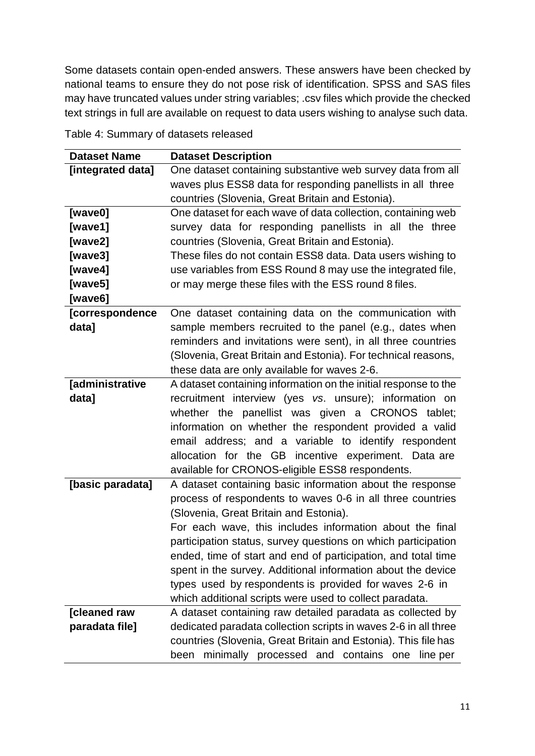Some datasets contain open-ended answers. These answers have been checked by national teams to ensure they do not pose risk of identification. SPSS and SAS files may have truncated values under string variables; .csv files which provide the checked text strings in full are available on request to data users wishing to analyse such data.

| <b>Dataset Name</b>    | <b>Dataset Description</b>                                      |  |
|------------------------|-----------------------------------------------------------------|--|
| [integrated data]      | One dataset containing substantive web survey data from all     |  |
|                        | waves plus ESS8 data for responding panellists in all three     |  |
|                        | countries (Slovenia, Great Britain and Estonia).                |  |
| [wave0]                | One dataset for each wave of data collection, containing web    |  |
| [wave1]                | survey data for responding panellists in all the three          |  |
| [wave2]                | countries (Slovenia, Great Britain and Estonia).                |  |
| [wave3]                | These files do not contain ESS8 data. Data users wishing to     |  |
| [wave4]                | use variables from ESS Round 8 may use the integrated file,     |  |
| [wave5]                | or may merge these files with the ESS round 8 files.            |  |
| [wave6]                |                                                                 |  |
| <b>[correspondence</b> | One dataset containing data on the communication with           |  |
| data]                  | sample members recruited to the panel (e.g., dates when         |  |
|                        | reminders and invitations were sent), in all three countries    |  |
|                        | (Slovenia, Great Britain and Estonia). For technical reasons,   |  |
|                        | these data are only available for waves 2-6.                    |  |
| [administrative        | A dataset containing information on the initial response to the |  |
| data]                  | recruitment interview (yes vs. unsure); information on          |  |
|                        | whether the panellist was given a CRONOS tablet;                |  |
|                        | information on whether the respondent provided a valid          |  |
|                        | email address; and a variable to identify respondent            |  |
|                        | allocation for the GB incentive experiment. Data are            |  |
|                        | available for CRONOS-eligible ESS8 respondents.                 |  |
| [basic paradata]       | A dataset containing basic information about the response       |  |
|                        | process of respondents to waves 0-6 in all three countries      |  |
|                        | (Slovenia, Great Britain and Estonia).                          |  |
|                        | For each wave, this includes information about the final        |  |
|                        | participation status, survey questions on which participation   |  |
|                        | ended, time of start and end of participation, and total time   |  |
|                        | spent in the survey. Additional information about the device    |  |
|                        | types used by respondents is provided for waves 2-6 in          |  |
|                        | which additional scripts were used to collect paradata.         |  |
| [cleaned raw           | A dataset containing raw detailed paradata as collected by      |  |
| paradata file]         | dedicated paradata collection scripts in waves 2-6 in all three |  |
|                        | countries (Slovenia, Great Britain and Estonia). This file has  |  |
|                        | minimally processed and contains one line per<br>been           |  |

Table 4: Summary of datasets released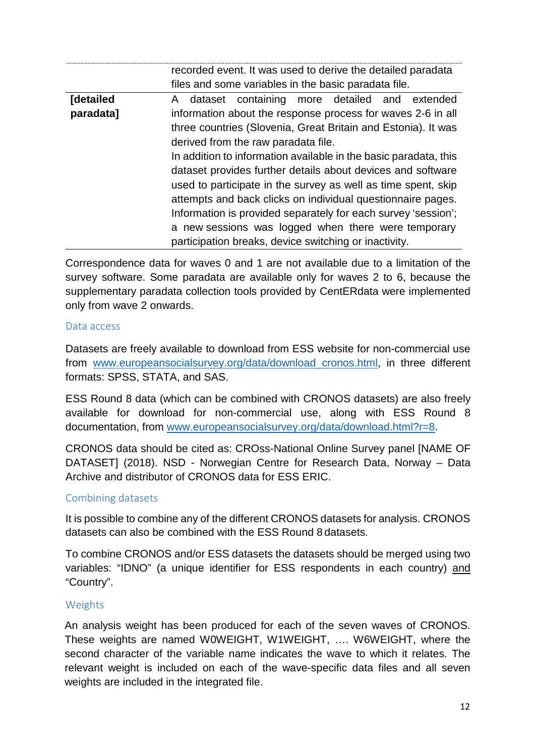|           | recorded event. It was used to derive the detailed paradata      |  |  |
|-----------|------------------------------------------------------------------|--|--|
|           | files and some variables in the basic paradata file.             |  |  |
| [detailed | A dataset containing more detailed and extended                  |  |  |
| paradata] | information about the response process for waves 2-6 in all      |  |  |
|           | three countries (Slovenia, Great Britain and Estonia). It was    |  |  |
|           | derived from the raw paradata file.                              |  |  |
|           | In addition to information available in the basic paradata, this |  |  |
|           | dataset provides further details about devices and software      |  |  |
|           | used to participate in the survey as well as time spent, skip    |  |  |
|           | attempts and back clicks on individual questionnaire pages.      |  |  |
|           | Information is provided separately for each survey 'session';    |  |  |
|           | a new sessions was logged when there were temporary              |  |  |
|           | participation breaks, device switching or inactivity.            |  |  |

Correspondence data for waves 0 and 1 are not available due to a limitation of the survey software. Some paradata are available only for waves 2 to 6, because the supplementary paradata collection tools provided by CentERdata were implemented only from wave 2 onwards.

#### Data access

Datasets are freely available to download from ESS website for non-commercial use from [www.europeansocialsurvey.org/data/download\\_cronos.html,](http://www.europeansocialsurvey.org/data/download_cronos.html) in three different formats: SPSS, STATA, and SAS.

ESS Round 8 data (which can be combined with CRONOS datasets) are also freely available for download for non-commercial use, along with ESS Round 8 documentation, from [www.europeansocialsurvey.org/data/download.html?r=8.](http://www.europeansocialsurvey.org/data/download.html?r=8)

CRONOS data should be cited as: CROss-National Online Survey panel [NAME OF DATASET] (2018). NSD - Norwegian Centre for Research Data, Norway – Data Archive and distributor of CRONOS data for ESS ERIC.

## Combining datasets

It is possible to combine any of the different CRONOS datasets for analysis. CRONOS datasets can also be combined with the ESS Round 8 datasets.

To combine CRONOS and/or ESS datasets the datasets should be merged using two variables: "IDNO" (a unique identifier for ESS respondents in each country) and "Country".

#### Weights

An analysis weight has been produced for each of the seven waves of CRONOS. These weights are named W0WEIGHT, W1WEIGHT, …. W6WEIGHT, where the second character of the variable name indicates the wave to which it relates. The relevant weight is included on each of the wave-specific data files and all seven weights are included in the integrated file.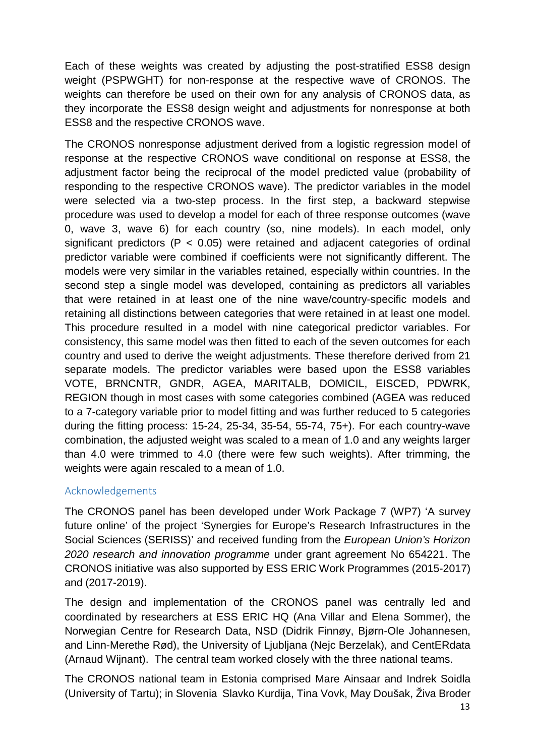Each of these weights was created by adjusting the post-stratified ESS8 design weight (PSPWGHT) for non-response at the respective wave of CRONOS. The weights can therefore be used on their own for any analysis of CRONOS data, as they incorporate the ESS8 design weight and adjustments for nonresponse at both ESS8 and the respective CRONOS wave.

The CRONOS nonresponse adjustment derived from a logistic regression model of response at the respective CRONOS wave conditional on response at ESS8, the adjustment factor being the reciprocal of the model predicted value (probability of responding to the respective CRONOS wave). The predictor variables in the model were selected via a two-step process. In the first step, a backward stepwise procedure was used to develop a model for each of three response outcomes (wave 0, wave 3, wave 6) for each country (so, nine models). In each model, only significant predictors ( $P < 0.05$ ) were retained and adjacent categories of ordinal predictor variable were combined if coefficients were not significantly different. The models were very similar in the variables retained, especially within countries. In the second step a single model was developed, containing as predictors all variables that were retained in at least one of the nine wave/country-specific models and retaining all distinctions between categories that were retained in at least one model. This procedure resulted in a model with nine categorical predictor variables. For consistency, this same model was then fitted to each of the seven outcomes for each country and used to derive the weight adjustments. These therefore derived from 21 separate models. The predictor variables were based upon the ESS8 variables VOTE, BRNCNTR, GNDR, AGEA, MARITALB, DOMICIL, EISCED, PDWRK, REGION though in most cases with some categories combined (AGEA was reduced to a 7-category variable prior to model fitting and was further reduced to 5 categories during the fitting process: 15-24, 25-34, 35-54, 55-74, 75+). For each country-wave combination, the adjusted weight was scaled to a mean of 1.0 and any weights larger than 4.0 were trimmed to 4.0 (there were few such weights). After trimming, the weights were again rescaled to a mean of 1.0.

## Acknowledgements

The CRONOS panel has been developed under Work Package 7 (WP7) 'A survey future online' of the project 'Synergies for Europe's Research Infrastructures in the Social Sciences (SERISS)' and received funding from the *European Union's Horizon 2020 research and innovation programme* under grant agreement No 654221. The CRONOS initiative was also supported by ESS ERIC Work Programmes (2015-2017) and (2017-2019).

The design and implementation of the CRONOS panel was centrally led and coordinated by researchers at ESS ERIC HQ (Ana Villar and Elena Sommer), the Norwegian Centre for Research Data, NSD (Didrik Finnøy, Bjørn-Ole Johannesen, and Linn-Merethe Rød), the University of Ljubljana (Nejc Berzelak), and CentERdata (Arnaud Wijnant). The central team worked closely with the three national teams.

The CRONOS national team in Estonia comprised Mare Ainsaar and Indrek Soidla (University of Tartu); in Slovenia Slavko Kurdija, Tina Vovk, May Doušak, Živa Broder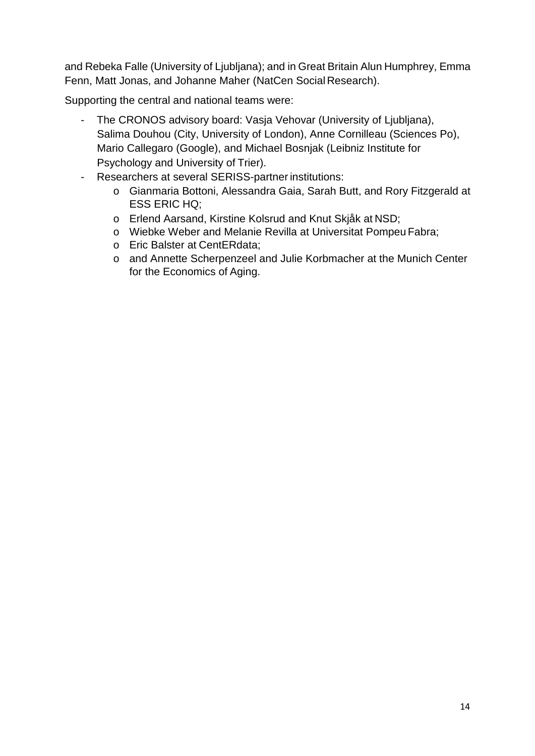and Rebeka Falle (University of Ljubljana); and in Great Britain Alun Humphrey, Emma Fenn, Matt Jonas, and Johanne Maher (NatCen Social Research).

Supporting the central and national teams were:

- The CRONOS advisory board: Vasja Vehovar (University of Ljubljana), Salima Douhou (City, University of London), Anne Cornilleau (Sciences Po), Mario Callegaro (Google), and Michael Bosnjak (Leibniz Institute for Psychology and [University of](http://bosnjak.uni-trier.de/) Trier).
- Researchers at several SERISS-partner institutions:
	- o Gianmaria Bottoni, Alessandra Gaia, Sarah Butt, and Rory Fitzgerald at ESS ERIC HQ;
	- o Erlend Aarsand, Kirstine Kolsrud and Knut Skjåk at NSD;
	- o Wiebke Weber and Melanie Revilla at Universitat Pompeu Fabra;
	- o Eric Balster at CentERdata;
	- o and Annette Scherpenzeel and Julie Korbmacher at the Munich Center for the Economics of Aging.